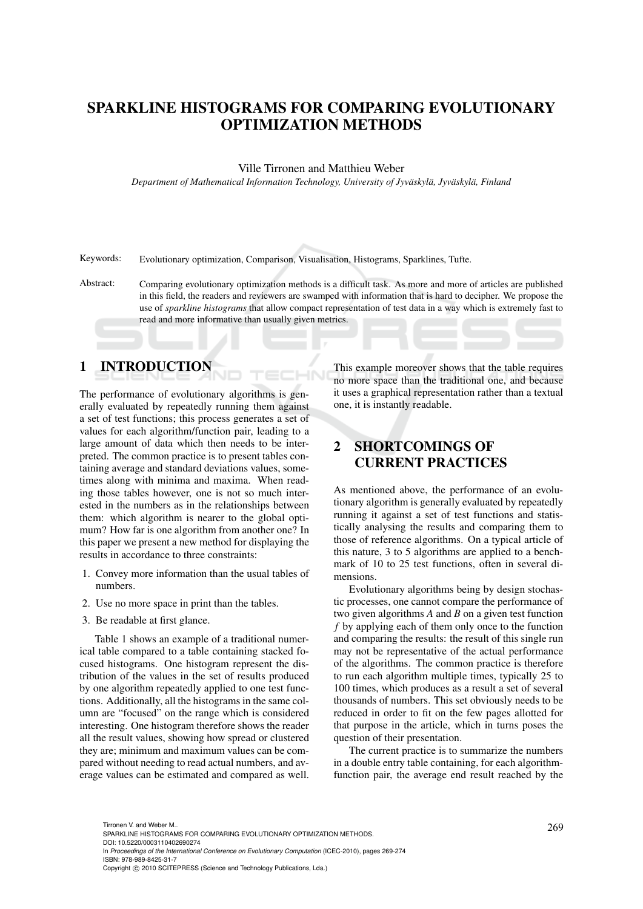# SPARKLINE HISTOGRAMS FOR COMPARING EVOLUTIONARY OPTIMIZATION METHODS

#### Ville Tirronen and Matthieu Weber

*Department of Mathematical Information Technology, University of Jyvaskyl ¨ a, Jyv ¨ askyl ¨ a, Finland ¨*

Keywords: Evolutionary optimization, Comparison, Visualisation, Histograms, Sparklines, Tufte.

Abstract: Comparing evolutionary optimization methods is a difficult task. As more and more of articles are published in this field, the readers and reviewers are swamped with information that is hard to decipher. We propose the use of *sparkline histograms* that allow compact representation of test data in a way which is extremely fast to read and more informative than usually given metrics.

#### 1 INTRODUCTION

The performance of evolutionary algorithms is generally evaluated by repeatedly running them against a set of test functions; this process generates a set of values for each algorithm/function pair, leading to a large amount of data which then needs to be interpreted. The common practice is to present tables containing average and standard deviations values, sometimes along with minima and maxima. When reading those tables however, one is not so much interested in the numbers as in the relationships between them: which algorithm is nearer to the global optimum? How far is one algorithm from another one? In this paper we present a new method for displaying the results in accordance to three constraints:

- 1. Convey more information than the usual tables of numbers.
- 2. Use no more space in print than the tables.
- 3. Be readable at first glance.

Table 1 shows an example of a traditional numerical table compared to a table containing stacked focused histograms. One histogram represent the distribution of the values in the set of results produced by one algorithm repeatedly applied to one test functions. Additionally, all the histograms in the same column are "focused" on the range which is considered interesting. One histogram therefore shows the reader all the result values, showing how spread or clustered they are; minimum and maximum values can be compared without needing to read actual numbers, and average values can be estimated and compared as well.

This example moreover shows that the table requires no more space than the traditional one, and because it uses a graphical representation rather than a textual one, it is instantly readable.

# 2 SHORTCOMINGS OF CURRENT PRACTICES

As mentioned above, the performance of an evolutionary algorithm is generally evaluated by repeatedly running it against a set of test functions and statistically analysing the results and comparing them to those of reference algorithms. On a typical article of this nature, 3 to 5 algorithms are applied to a benchmark of 10 to 25 test functions, often in several dimensions.

Evolutionary algorithms being by design stochastic processes, one cannot compare the performance of two given algorithms *A* and *B* on a given test function *f* by applying each of them only once to the function and comparing the results: the result of this single run may not be representative of the actual performance of the algorithms. The common practice is therefore to run each algorithm multiple times, typically 25 to 100 times, which produces as a result a set of several thousands of numbers. This set obviously needs to be reduced in order to fit on the few pages allotted for that purpose in the article, which in turns poses the question of their presentation.

The current practice is to summarize the numbers in a double entry table containing, for each algorithmfunction pair, the average end result reached by the

In *Proceedings of the International Conference on Evolutionary Computation* (ICEC-2010), pages 269-274 ISBN: 978-989-8425-31-7

<sup>269</sup> Tirronen V. and Weber M.. SPARKLINE HISTOGRAMS FOR COMPARING EVOLUTIONARY OPTIMIZATION METHODS. DOI: 10.5220/0003110402690274

Copyright © 2010 SCITEPRESS (Science and Technology Publications, Lda.)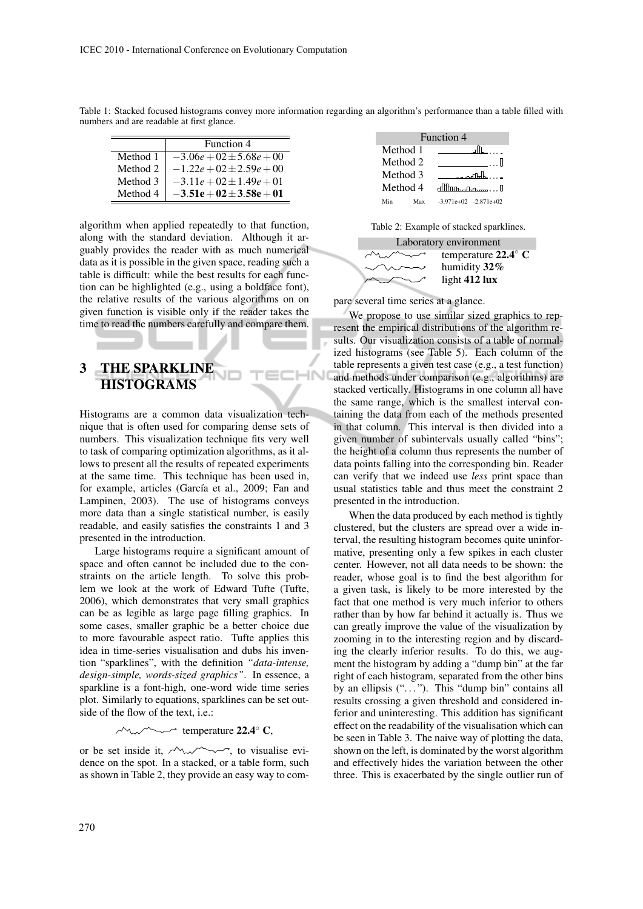|          | Function 4                   |  |  |
|----------|------------------------------|--|--|
| Method 1 | $-3.06e + 02 \pm 5.68e + 00$ |  |  |
| Method 2 | $-1.22e + 02 \pm 2.59e + 00$ |  |  |
| Method 3 | $-3.11e + 02 \pm 1.49e + 01$ |  |  |
| Method 4 | $-3.51e + 02 \pm 3.58e + 01$ |  |  |

Table 1: Stacked focused histograms convey more information regarding an algorithm's performance than a table filled with numbers and are readable at first glance.

**IHN** 

algorithm when applied repeatedly to that function, along with the standard deviation. Although it arguably provides the reader with as much numerical data as it is possible in the given space, reading such a table is difficult: while the best results for each function can be highlighted (e.g., using a boldface font), the relative results of the various algorithms on on given function is visible only if the reader takes the time to read the numbers carefully and compare them.

### 3 THE SPARKLINE **HISTOGRAMS**

Histograms are a common data visualization technique that is often used for comparing dense sets of numbers. This visualization technique fits very well to task of comparing optimization algorithms, as it allows to present all the results of repeated experiments at the same time. This technique has been used in, for example, articles (García et al., 2009; Fan and Lampinen, 2003). The use of histograms conveys more data than a single statistical number, is easily readable, and easily satisfies the constraints 1 and 3 presented in the introduction.

Large histograms require a significant amount of space and often cannot be included due to the constraints on the article length. To solve this problem we look at the work of Edward Tufte (Tufte, 2006), which demonstrates that very small graphics can be as legible as large page filling graphics. In some cases, smaller graphic be a better choice due to more favourable aspect ratio. Tufte applies this idea in time-series visualisation and dubs his invention "sparklines", with the definition *"data-intense, design-simple, words-sized graphics"*. In essence, a sparkline is a font-high, one-word wide time series plot. Similarly to equations, sparklines can be set outside of the flow of the text, i.e.:

 $\sim$   $\sim$   $\sim$   $\sim$  temperature 22.4 $\degree$  C,

or be set inside it,  $\sim\sim\sim\sim$ , to visualise evidence on the spot. In a stacked, or a table form, such as shown in Table 2, they provide an easy way to com-



Table 2: Example of stacked sparklines.



pare several time series at a glance.

We propose to use similar sized graphics to represent the empirical distributions of the algorithm results. Our visualization consists of a table of normalized histograms (see Table 5). Each column of the table represents a given test case (e.g., a test function) and methods under comparison (e.g., algorithms) are stacked vertically. Histograms in one column all have the same range, which is the smallest interval containing the data from each of the methods presented in that column. This interval is then divided into a given number of subintervals usually called "bins"; the height of a column thus represents the number of data points falling into the corresponding bin. Reader can verify that we indeed use *less* print space than usual statistics table and thus meet the constraint 2 presented in the introduction.

When the data produced by each method is tightly clustered, but the clusters are spread over a wide interval, the resulting histogram becomes quite uninformative, presenting only a few spikes in each cluster center. However, not all data needs to be shown: the reader, whose goal is to find the best algorithm for a given task, is likely to be more interested by the fact that one method is very much inferior to others rather than by how far behind it actually is. Thus we can greatly improve the value of the visualization by zooming in to the interesting region and by discarding the clearly inferior results. To do this, we augment the histogram by adding a "dump bin" at the far right of each histogram, separated from the other bins by an ellipsis ("..."). This "dump bin" contains all results crossing a given threshold and considered inferior and uninteresting. This addition has significant effect on the readability of the visualisation which can be seen in Table 3. The naive way of plotting the data, shown on the left, is dominated by the worst algorithm and effectively hides the variation between the other three. This is exacerbated by the single outlier run of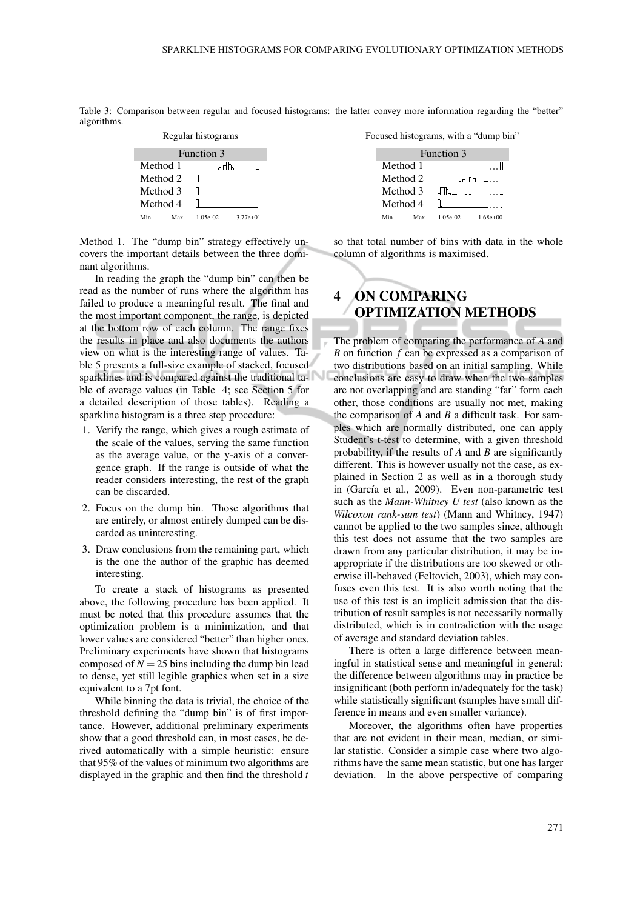Table 3: Comparison between regular and focused histograms: the latter convey more information regarding the "better" algorithms.



Method 1. The "dump bin" strategy effectively uncovers the important details between the three dominant algorithms.

In reading the graph the "dump bin" can then be read as the number of runs where the algorithm has failed to produce a meaningful result. The final and the most important component, the range, is depicted at the bottom row of each column. The range fixes the results in place and also documents the authors view on what is the interesting range of values. Table 5 presents a full-size example of stacked, focused sparklines and is compared against the traditional table of average values (in Table 4; see Section 5 for a detailed description of those tables). Reading a sparkline histogram is a three step procedure:

- 1. Verify the range, which gives a rough estimate of the scale of the values, serving the same function as the average value, or the y-axis of a convergence graph. If the range is outside of what the reader considers interesting, the rest of the graph can be discarded.
- 2. Focus on the dump bin. Those algorithms that are entirely, or almost entirely dumped can be discarded as uninteresting.
- 3. Draw conclusions from the remaining part, which is the one the author of the graphic has deemed interesting.

To create a stack of histograms as presented above, the following procedure has been applied. It must be noted that this procedure assumes that the optimization problem is a minimization, and that lower values are considered "better" than higher ones. Preliminary experiments have shown that histograms composed of  $N = 25$  bins including the dump bin lead to dense, yet still legible graphics when set in a size equivalent to a 7pt font.

While binning the data is trivial, the choice of the threshold defining the "dump bin" is of first importance. However, additional preliminary experiments show that a good threshold can, in most cases, be derived automatically with a simple heuristic: ensure that 95% of the values of minimum two algorithms are displayed in the graphic and then find the threshold *t*





so that total number of bins with data in the whole column of algorithms is maximised.

# 4 ON COMPARING OPTIMIZATION METHODS

The problem of comparing the performance of *A* and *B* on function *f* can be expressed as a comparison of two distributions based on an initial sampling. While conclusions are easy to draw when the two samples are not overlapping and are standing "far" form each other, those conditions are usually not met, making the comparison of *A* and *B* a difficult task. For samples which are normally distributed, one can apply Student's t-test to determine, with a given threshold probability, if the results of *A* and *B* are significantly different. This is however usually not the case, as explained in Section 2 as well as in a thorough study in (García et al., 2009). Even non-parametric test such as the *Mann-Whitney U test* (also known as the *Wilcoxon rank-sum test*) (Mann and Whitney, 1947) cannot be applied to the two samples since, although this test does not assume that the two samples are drawn from any particular distribution, it may be inappropriate if the distributions are too skewed or otherwise ill-behaved (Feltovich, 2003), which may confuses even this test. It is also worth noting that the use of this test is an implicit admission that the distribution of result samples is not necessarily normally distributed, which is in contradiction with the usage of average and standard deviation tables.

There is often a large difference between meaningful in statistical sense and meaningful in general: the difference between algorithms may in practice be insignificant (both perform in/adequately for the task) while statistically significant (samples have small difference in means and even smaller variance).

Moreover, the algorithms often have properties that are not evident in their mean, median, or similar statistic. Consider a simple case where two algorithms have the same mean statistic, but one has larger deviation. In the above perspective of comparing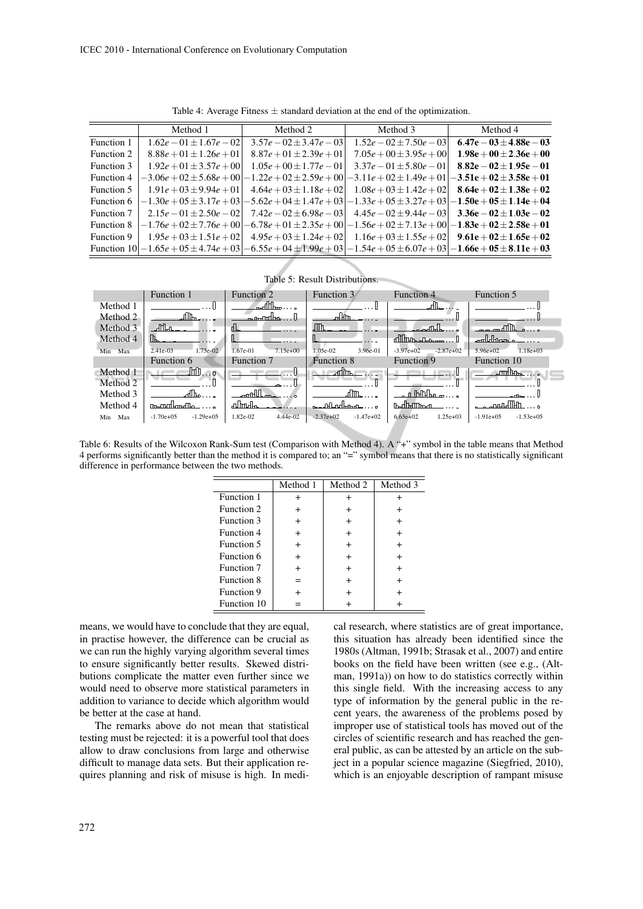|            | Method 1                     | Method 2                     | Method 3                                                                                          | Method 4                     |
|------------|------------------------------|------------------------------|---------------------------------------------------------------------------------------------------|------------------------------|
| Function 1 | $1.62e - 01 \pm 1.67e - 02$  | $3.57e - 02 \pm 3.47e - 03$  | $1.52e - 02 \pm 7.50e - 03$                                                                       | $6.47e - 03 \pm 4.88e - 03$  |
| Function 2 | $8.88e + 01 \pm 1.26e + 01$  | $8.87e + 01 \pm 2.39e + 01$  | $7.05e + 00 \pm 3.95e + 00$                                                                       | $1.98e + 00 \pm 2.36e + 00$  |
| Function 3 | $1.92e + 01 \pm 3.57e + 00$  | $1.05e + 00 \pm 1.77e - 01$  | $3.37e - 01 \pm 5.80e - 01$                                                                       | $8.82e - 02 \pm 1.95e - 01$  |
| Function 4 | $-3.06e + 02 \pm 5.68e + 00$ | $-1.22e + 02 \pm 2.59e + 00$ | $-3.11e + 02 \pm 1.49e + 01$                                                                      | $-3.51e + 02 \pm 3.58e + 01$ |
| Function 5 | $1.91e + 03 \pm 9.94e + 01$  | $4.64e + 03 \pm 1.18e + 02$  | $1.08e + 03 \pm 1.42e + 02$                                                                       | $8.64e + 02 \pm 1.38e + 02$  |
| Function 6 | $-1.30e + 05 \pm 3.17e + 03$ | $-5.62e + 04 \pm 1.47e + 03$ | $-1.33e + 05 \pm 3.27e + 03 - 1.50e + 05 \pm 1.14e + 04$                                          |                              |
| Function 7 | $2.15e-01 \pm 2.50e-02$      | $7.42e - 02 \pm 6.98e - 03$  | $4.45e - 02 \pm 9.44e - 03$                                                                       | $3.36e - 02 \pm 1.03e - 02$  |
| Function 8 | $-1.76e + 02 \pm 7.76e + 00$ |                              | $-6.78e + 01 \pm 2.35e + 00 - 1.56e + 02 \pm 7.13e + 00 - 1.83e + 02 \pm 2.58e + 01$              |                              |
| Function 9 | $1.95e + 03 \pm 1.51e + 02$  | $4.95e + 03 \pm 1.24e + 02$  | $1.16e + 03 \pm 1.55e + 02$                                                                       | $9.61e + 02 \pm 1.65e + 02$  |
|            |                              |                              | Function $10 -1.65e+05\pm4.74e+03 -6.55e+04\pm1.99e+03 -1.54e+05\pm6.07e+03 -1.66e+05\pm8.11e+03$ |                              |

Table 4: Average Fitness  $\pm$  standard deviation at the end of the optimization.

Table 5: Result Distributions.



Table 6: Results of the Wilcoxon Rank-Sum test (Comparison with Method 4). A "+" symbol in the table means that Method 4 performs significantly better than the method it is compared to; an "=" symbol means that there is no statistically significant difference in performance between the two methods.

|                   | Method 1  | Method 2  | Method 3 |
|-------------------|-----------|-----------|----------|
| Function 1        |           | +         |          |
| Function 2        |           | $\ddot{}$ |          |
| Function 3        | $\,{}^+$  | $\,{}^+$  |          |
| Function 4        | $\ddot{}$ | $\ddot{}$ |          |
| <b>Function 5</b> | $\ddot{}$ | $\ddot{}$ |          |
| Function 6        | $\ddot{}$ | $\,{}^+$  |          |
| Function 7        | $\,{}^+$  | $\ddot{}$ |          |
| Function 8        | $=$       | $\ddot{}$ |          |
| Function 9        |           | $\,{}^+$  |          |
| Function 10       |           |           |          |

means, we would have to conclude that they are equal, in practise however, the difference can be crucial as we can run the highly varying algorithm several times to ensure significantly better results. Skewed distributions complicate the matter even further since we would need to observe more statistical parameters in addition to variance to decide which algorithm would be better at the case at hand.

The remarks above do not mean that statistical testing must be rejected: it is a powerful tool that does allow to draw conclusions from large and otherwise difficult to manage data sets. But their application requires planning and risk of misuse is high. In medical research, where statistics are of great importance, this situation has already been identified since the 1980s (Altman, 1991b; Strasak et al., 2007) and entire books on the field have been written (see e.g., (Altman, 1991a)) on how to do statistics correctly within this single field. With the increasing access to any type of information by the general public in the recent years, the awareness of the problems posed by improper use of statistical tools has moved out of the circles of scientific research and has reached the general public, as can be attested by an article on the subject in a popular science magazine (Siegfried, 2010), which is an enjoyable description of rampant misuse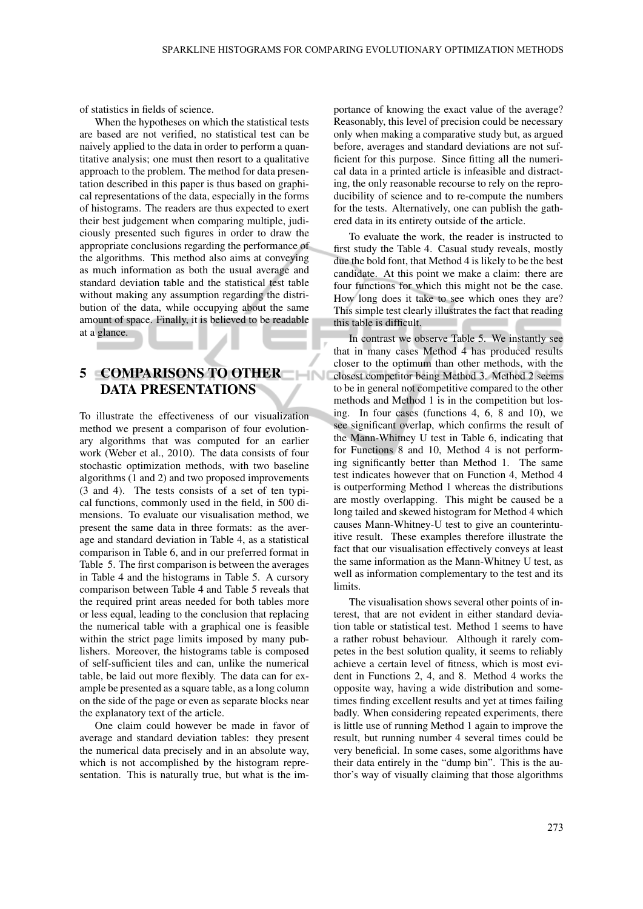of statistics in fields of science.

When the hypotheses on which the statistical tests are based are not verified, no statistical test can be naively applied to the data in order to perform a quantitative analysis; one must then resort to a qualitative approach to the problem. The method for data presentation described in this paper is thus based on graphical representations of the data, especially in the forms of histograms. The readers are thus expected to exert their best judgement when comparing multiple, judiciously presented such figures in order to draw the appropriate conclusions regarding the performance of the algorithms. This method also aims at conveying as much information as both the usual average and standard deviation table and the statistical test table without making any assumption regarding the distribution of the data, while occupying about the same amount of space. Finally, it is believed to be readable at a glance.

# 5 COMPARISONS TO OTHER DATA PRESENTATIONS

To illustrate the effectiveness of our visualization method we present a comparison of four evolutionary algorithms that was computed for an earlier work (Weber et al., 2010). The data consists of four stochastic optimization methods, with two baseline algorithms (1 and 2) and two proposed improvements (3 and 4). The tests consists of a set of ten typical functions, commonly used in the field, in 500 dimensions. To evaluate our visualisation method, we present the same data in three formats: as the average and standard deviation in Table 4, as a statistical comparison in Table 6, and in our preferred format in Table 5. The first comparison is between the averages in Table 4 and the histograms in Table 5. A cursory comparison between Table 4 and Table 5 reveals that the required print areas needed for both tables more or less equal, leading to the conclusion that replacing the numerical table with a graphical one is feasible within the strict page limits imposed by many publishers. Moreover, the histograms table is composed of self-sufficient tiles and can, unlike the numerical table, be laid out more flexibly. The data can for example be presented as a square table, as a long column on the side of the page or even as separate blocks near the explanatory text of the article.

One claim could however be made in favor of average and standard deviation tables: they present the numerical data precisely and in an absolute way, which is not accomplished by the histogram representation. This is naturally true, but what is the im-

portance of knowing the exact value of the average? Reasonably, this level of precision could be necessary only when making a comparative study but, as argued before, averages and standard deviations are not sufficient for this purpose. Since fitting all the numerical data in a printed article is infeasible and distracting, the only reasonable recourse to rely on the reproducibility of science and to re-compute the numbers for the tests. Alternatively, one can publish the gathered data in its entirety outside of the article.

To evaluate the work, the reader is instructed to first study the Table 4. Casual study reveals, mostly due the bold font, that Method 4 is likely to be the best candidate. At this point we make a claim: there are four functions for which this might not be the case. How long does it take to see which ones they are? This simple test clearly illustrates the fact that reading this table is difficult.

In contrast we observe Table 5. We instantly see that in many cases Method 4 has produced results closer to the optimum than other methods, with the closest competitor being Method 3. Method 2 seems to be in general not competitive compared to the other methods and Method 1 is in the competition but losing. In four cases (functions 4, 6, 8 and 10), we see significant overlap, which confirms the result of the Mann-Whitney U test in Table 6, indicating that for Functions 8 and 10, Method 4 is not performing significantly better than Method 1. The same test indicates however that on Function 4, Method 4 is outperforming Method 1 whereas the distributions are mostly overlapping. This might be caused be a long tailed and skewed histogram for Method 4 which causes Mann-Whitney-U test to give an counterintuitive result. These examples therefore illustrate the fact that our visualisation effectively conveys at least the same information as the Mann-Whitney U test, as well as information complementary to the test and its limits.

The visualisation shows several other points of interest, that are not evident in either standard deviation table or statistical test. Method 1 seems to have a rather robust behaviour. Although it rarely competes in the best solution quality, it seems to reliably achieve a certain level of fitness, which is most evident in Functions 2, 4, and 8. Method 4 works the opposite way, having a wide distribution and sometimes finding excellent results and yet at times failing badly. When considering repeated experiments, there is little use of running Method 1 again to improve the result, but running number 4 several times could be very beneficial. In some cases, some algorithms have their data entirely in the "dump bin". This is the author's way of visually claiming that those algorithms